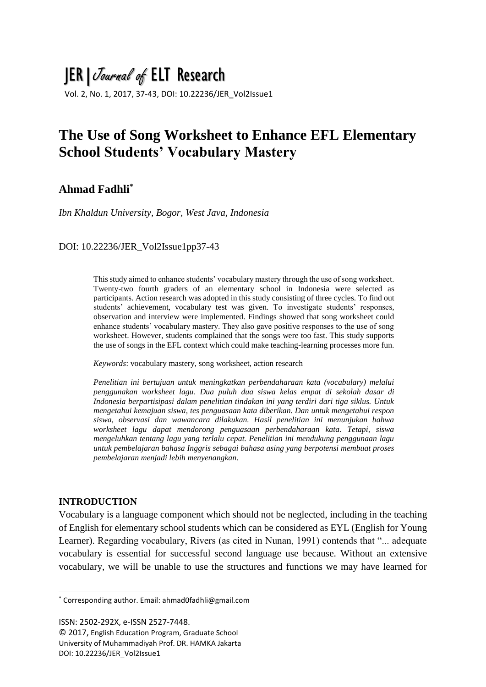# JER|Journal of ELT Research

Vol. 2, No. 1, 2017, 37-43, DOI: 10.22236/JER\_Vol2Issue1

# **The Use of Song Worksheet to Enhance EFL Elementary School Students' Vocabulary Mastery**

## **Ahmad Fadhli\***

*Ibn Khaldun University, Bogor, West Java, Indonesia*

### DOI: 10.22236/JER\_Vol2Issue1pp37-43

This study aimed to enhance students' vocabulary mastery through the use of song worksheet. Twenty-two fourth graders of an elementary school in Indonesia were selected as participants. Action research was adopted in this study consisting of three cycles. To find out students' achievement, vocabulary test was given. To investigate students' responses, observation and interview were implemented. Findings showed that song worksheet could enhance students' vocabulary mastery. They also gave positive responses to the use of song worksheet. However, students complained that the songs were too fast. This study supports the use of songs in the EFL context which could make teaching-learning processes more fun.

*Keywords*: vocabulary mastery, song worksheet, action research

*Penelitian ini bertujuan untuk meningkatkan perbendaharaan kata (vocabulary) melalui penggunakan worksheet lagu. Dua puluh dua siswa kelas empat di sekolah dasar di Indonesia berpartisipasi dalam penelitian tindakan ini yang terdiri dari tiga siklus. Untuk mengetahui kemajuan siswa, tes penguasaan kata diberikan. Dan untuk mengetahui respon siswa, observasi dan wawancara dilakukan. Hasil penelitian ini menunjukan bahwa worksheet lagu dapat mendorong penguasaan perbendaharaan kata. Tetapi, siswa mengeluhkan tentang lagu yang terlalu cepat. Penelitian ini mendukung penggunaan lagu untuk pembelajaran bahasa Inggris sebagai bahasa asing yang berpotensi membuat proses pembelajaran menjadi lebih menyenangkan.*

#### **INTRODUCTION**

**.** 

Vocabulary is a language component which should not be neglected, including in the teaching of English for elementary school students which can be considered as EYL (English for Young Learner). Regarding vocabulary, Rivers (as cited in Nunan, 1991) contends that "... adequate vocabulary is essential for successful second language use because. Without an extensive vocabulary, we will be unable to use the structures and functions we may have learned for

ISSN: 2502-292X, e-ISSN 2527-7448.

© 2017, English Education Program, Graduate School University of Muhammadiyah Prof. DR. HAMKA Jakarta DOI: 10.22236/JER\_Vol2Issue1

<sup>\*</sup> Corresponding author. Email: ahmad0fadhli@gmail.com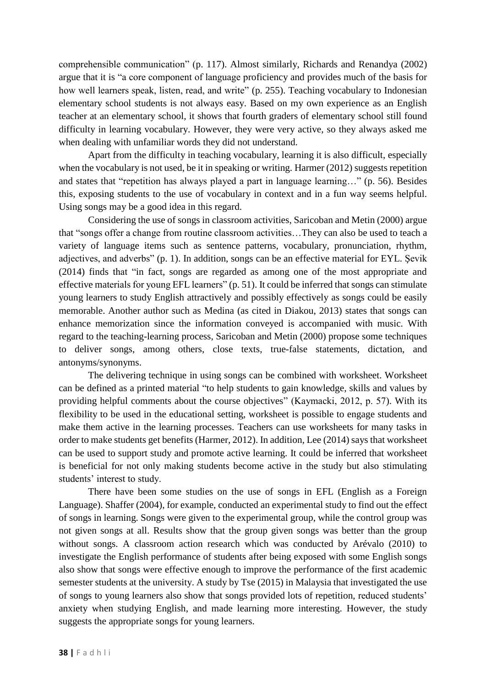comprehensible communication" (p. 117). Almost similarly, Richards and Renandya (2002) argue that it is "a core component of language proficiency and provides much of the basis for how well learners speak, listen, read, and write" (p. 255). Teaching vocabulary to Indonesian elementary school students is not always easy. Based on my own experience as an English teacher at an elementary school, it shows that fourth graders of elementary school still found difficulty in learning vocabulary. However, they were very active, so they always asked me when dealing with unfamiliar words they did not understand.

Apart from the difficulty in teaching vocabulary, learning it is also difficult, especially when the vocabulary is not used, be it in speaking or writing. Harmer (2012) suggests repetition and states that "repetition has always played a part in language learning…" (p. 56). Besides this, exposing students to the use of vocabulary in context and in a fun way seems helpful. Using songs may be a good idea in this regard.

Considering the use of songs in classroom activities, Saricoban and Metin (2000) argue that "songs offer a change from routine classroom activities…They can also be used to teach a variety of language items such as sentence patterns, vocabulary, pronunciation, rhythm, adjectives, and adverbs" (p. 1). In addition, songs can be an effective material for EYL. Şevik (2014) finds that "in fact, songs are regarded as among one of the most appropriate and effective materials for young EFL learners" (p. 51). It could be inferred that songs can stimulate young learners to study English attractively and possibly effectively as songs could be easily memorable. Another author such as Medina (as cited in Diakou, 2013) states that songs can enhance memorization since the information conveyed is accompanied with music. With regard to the teaching-learning process, Saricoban and Metin (2000) propose some techniques to deliver songs, among others, close texts, true-false statements, dictation, and antonyms/synonyms.

The delivering technique in using songs can be combined with worksheet. Worksheet can be defined as a printed material "to help students to gain knowledge, skills and values by providing helpful comments about the course objectives" (Kaymacki, 2012, p. 57). With its flexibility to be used in the educational setting, worksheet is possible to engage students and make them active in the learning processes. Teachers can use worksheets for many tasks in order to make students get benefits (Harmer, 2012). In addition, Lee (2014) says that worksheet can be used to support study and promote active learning. It could be inferred that worksheet is beneficial for not only making students become active in the study but also stimulating students' interest to study.

There have been some studies on the use of songs in EFL (English as a Foreign Language). Shaffer (2004), for example, conducted an experimental study to find out the effect of songs in learning. Songs were given to the experimental group, while the control group was not given songs at all. Results show that the group given songs was better than the group without songs. A classroom action research which was conducted by Arévalo (2010) to investigate the English performance of students after being exposed with some English songs also show that songs were effective enough to improve the performance of the first academic semester students at the university. A study by Tse (2015) in Malaysia that investigated the use of songs to young learners also show that songs provided lots of repetition, reduced students' anxiety when studying English, and made learning more interesting. However, the study suggests the appropriate songs for young learners.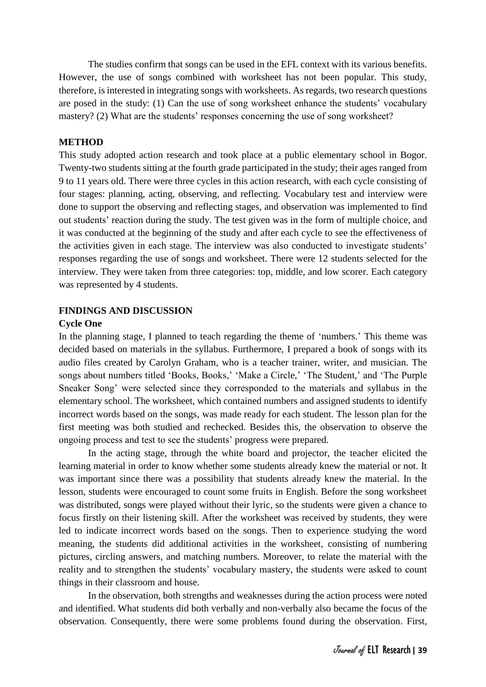The studies confirm that songs can be used in the EFL context with its various benefits. However, the use of songs combined with worksheet has not been popular. This study, therefore, is interested in integrating songs with worksheets. As regards, two research questions are posed in the study: (1) Can the use of song worksheet enhance the students' vocabulary mastery? (2) What are the students' responses concerning the use of song worksheet?

#### **METHOD**

This study adopted action research and took place at a public elementary school in Bogor. Twenty-two students sitting at the fourth grade participated in the study; their ages ranged from 9 to 11 years old. There were three cycles in this action research, with each cycle consisting of four stages: planning, acting, observing, and reflecting. Vocabulary test and interview were done to support the observing and reflecting stages, and observation was implemented to find out students' reaction during the study. The test given was in the form of multiple choice, and it was conducted at the beginning of the study and after each cycle to see the effectiveness of the activities given in each stage. The interview was also conducted to investigate students' responses regarding the use of songs and worksheet. There were 12 students selected for the interview. They were taken from three categories: top, middle, and low scorer. Each category was represented by 4 students.

#### **FINDINGS AND DISCUSSION**

#### **Cycle One**

In the planning stage, I planned to teach regarding the theme of 'numbers.' This theme was decided based on materials in the syllabus. Furthermore, I prepared a book of songs with its audio files created by Carolyn Graham, who is a teacher trainer, writer, and musician. The songs about numbers titled 'Books, Books,' 'Make a Circle,' 'The Student,' and 'The Purple Sneaker Song' were selected since they corresponded to the materials and syllabus in the elementary school. The worksheet, which contained numbers and assigned students to identify incorrect words based on the songs, was made ready for each student. The lesson plan for the first meeting was both studied and rechecked. Besides this, the observation to observe the ongoing process and test to see the students' progress were prepared.

In the acting stage, through the white board and projector, the teacher elicited the learning material in order to know whether some students already knew the material or not. It was important since there was a possibility that students already knew the material. In the lesson, students were encouraged to count some fruits in English. Before the song worksheet was distributed, songs were played without their lyric, so the students were given a chance to focus firstly on their listening skill. After the worksheet was received by students, they were led to indicate incorrect words based on the songs. Then to experience studying the word meaning, the students did additional activities in the worksheet, consisting of numbering pictures, circling answers, and matching numbers. Moreover, to relate the material with the reality and to strengthen the students' vocabulary mastery, the students were asked to count things in their classroom and house.

In the observation, both strengths and weaknesses during the action process were noted and identified. What students did both verbally and non-verbally also became the focus of the observation. Consequently, there were some problems found during the observation. First,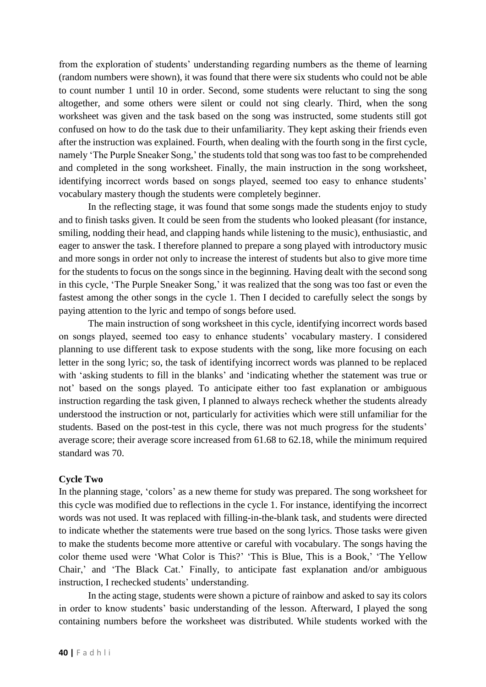from the exploration of students' understanding regarding numbers as the theme of learning (random numbers were shown), it was found that there were six students who could not be able to count number 1 until 10 in order. Second, some students were reluctant to sing the song altogether, and some others were silent or could not sing clearly. Third, when the song worksheet was given and the task based on the song was instructed, some students still got confused on how to do the task due to their unfamiliarity. They kept asking their friends even after the instruction was explained. Fourth, when dealing with the fourth song in the first cycle, namely 'The Purple Sneaker Song,' the students told that song was too fast to be comprehended and completed in the song worksheet. Finally, the main instruction in the song worksheet, identifying incorrect words based on songs played, seemed too easy to enhance students' vocabulary mastery though the students were completely beginner.

In the reflecting stage, it was found that some songs made the students enjoy to study and to finish tasks given. It could be seen from the students who looked pleasant (for instance, smiling, nodding their head, and clapping hands while listening to the music), enthusiastic, and eager to answer the task. I therefore planned to prepare a song played with introductory music and more songs in order not only to increase the interest of students but also to give more time for the students to focus on the songs since in the beginning. Having dealt with the second song in this cycle, 'The Purple Sneaker Song,' it was realized that the song was too fast or even the fastest among the other songs in the cycle 1. Then I decided to carefully select the songs by paying attention to the lyric and tempo of songs before used.

The main instruction of song worksheet in this cycle, identifying incorrect words based on songs played, seemed too easy to enhance students' vocabulary mastery. I considered planning to use different task to expose students with the song, like more focusing on each letter in the song lyric; so, the task of identifying incorrect words was planned to be replaced with 'asking students to fill in the blanks' and 'indicating whether the statement was true or not' based on the songs played. To anticipate either too fast explanation or ambiguous instruction regarding the task given, I planned to always recheck whether the students already understood the instruction or not, particularly for activities which were still unfamiliar for the students. Based on the post-test in this cycle, there was not much progress for the students' average score; their average score increased from 61.68 to 62.18, while the minimum required standard was 70.

#### **Cycle Two**

In the planning stage, 'colors' as a new theme for study was prepared. The song worksheet for this cycle was modified due to reflections in the cycle 1. For instance, identifying the incorrect words was not used. It was replaced with filling-in-the-blank task, and students were directed to indicate whether the statements were true based on the song lyrics. Those tasks were given to make the students become more attentive or careful with vocabulary. The songs having the color theme used were 'What Color is This?' 'This is Blue, This is a Book,' 'The Yellow Chair,' and 'The Black Cat.' Finally, to anticipate fast explanation and/or ambiguous instruction, I rechecked students' understanding.

In the acting stage, students were shown a picture of rainbow and asked to say its colors in order to know students' basic understanding of the lesson. Afterward, I played the song containing numbers before the worksheet was distributed. While students worked with the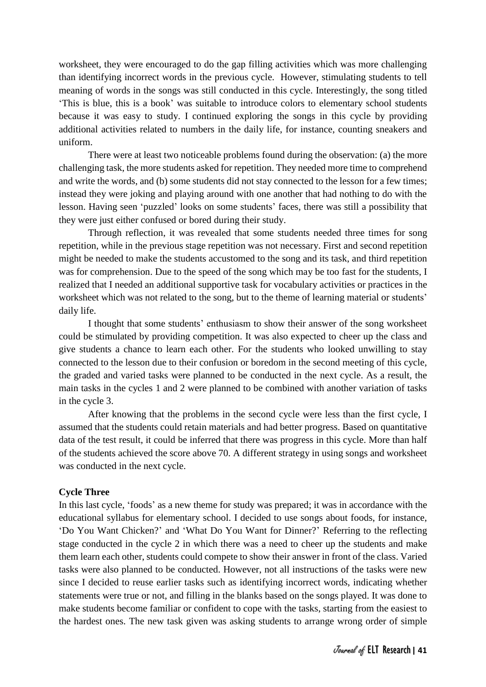worksheet, they were encouraged to do the gap filling activities which was more challenging than identifying incorrect words in the previous cycle. However, stimulating students to tell meaning of words in the songs was still conducted in this cycle. Interestingly, the song titled 'This is blue, this is a book' was suitable to introduce colors to elementary school students because it was easy to study. I continued exploring the songs in this cycle by providing additional activities related to numbers in the daily life, for instance, counting sneakers and uniform.

There were at least two noticeable problems found during the observation: (a) the more challenging task, the more students asked for repetition. They needed more time to comprehend and write the words, and (b) some students did not stay connected to the lesson for a few times; instead they were joking and playing around with one another that had nothing to do with the lesson. Having seen 'puzzled' looks on some students' faces, there was still a possibility that they were just either confused or bored during their study.

Through reflection, it was revealed that some students needed three times for song repetition, while in the previous stage repetition was not necessary. First and second repetition might be needed to make the students accustomed to the song and its task, and third repetition was for comprehension. Due to the speed of the song which may be too fast for the students, I realized that I needed an additional supportive task for vocabulary activities or practices in the worksheet which was not related to the song, but to the theme of learning material or students' daily life.

I thought that some students' enthusiasm to show their answer of the song worksheet could be stimulated by providing competition. It was also expected to cheer up the class and give students a chance to learn each other. For the students who looked unwilling to stay connected to the lesson due to their confusion or boredom in the second meeting of this cycle, the graded and varied tasks were planned to be conducted in the next cycle. As a result, the main tasks in the cycles 1 and 2 were planned to be combined with another variation of tasks in the cycle 3.

After knowing that the problems in the second cycle were less than the first cycle, I assumed that the students could retain materials and had better progress. Based on quantitative data of the test result, it could be inferred that there was progress in this cycle. More than half of the students achieved the score above 70. A different strategy in using songs and worksheet was conducted in the next cycle.

#### **Cycle Three**

In this last cycle, 'foods' as a new theme for study was prepared; it was in accordance with the educational syllabus for elementary school. I decided to use songs about foods, for instance, 'Do You Want Chicken?' and 'What Do You Want for Dinner?' Referring to the reflecting stage conducted in the cycle 2 in which there was a need to cheer up the students and make them learn each other, students could compete to show their answer in front of the class. Varied tasks were also planned to be conducted. However, not all instructions of the tasks were new since I decided to reuse earlier tasks such as identifying incorrect words, indicating whether statements were true or not, and filling in the blanks based on the songs played. It was done to make students become familiar or confident to cope with the tasks, starting from the easiest to the hardest ones. The new task given was asking students to arrange wrong order of simple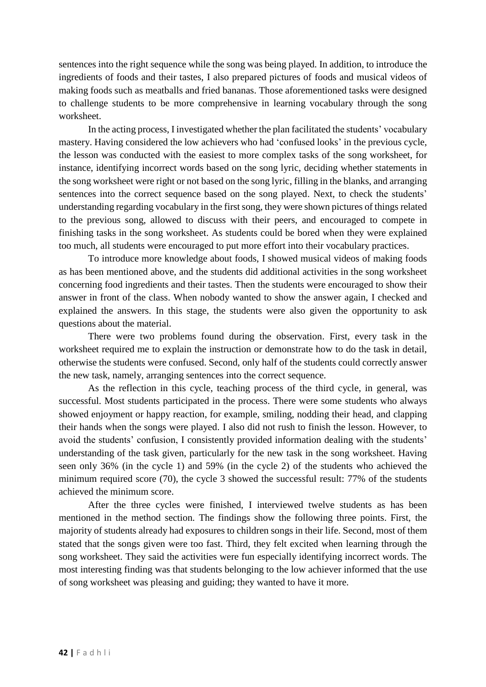sentences into the right sequence while the song was being played. In addition, to introduce the ingredients of foods and their tastes, I also prepared pictures of foods and musical videos of making foods such as meatballs and fried bananas. Those aforementioned tasks were designed to challenge students to be more comprehensive in learning vocabulary through the song worksheet.

In the acting process, I investigated whether the plan facilitated the students' vocabulary mastery. Having considered the low achievers who had 'confused looks' in the previous cycle, the lesson was conducted with the easiest to more complex tasks of the song worksheet, for instance, identifying incorrect words based on the song lyric, deciding whether statements in the song worksheet were right or not based on the song lyric, filling in the blanks, and arranging sentences into the correct sequence based on the song played. Next, to check the students' understanding regarding vocabulary in the first song, they were shown pictures of things related to the previous song, allowed to discuss with their peers, and encouraged to compete in finishing tasks in the song worksheet. As students could be bored when they were explained too much, all students were encouraged to put more effort into their vocabulary practices.

To introduce more knowledge about foods, I showed musical videos of making foods as has been mentioned above, and the students did additional activities in the song worksheet concerning food ingredients and their tastes. Then the students were encouraged to show their answer in front of the class. When nobody wanted to show the answer again, I checked and explained the answers. In this stage, the students were also given the opportunity to ask questions about the material.

There were two problems found during the observation. First, every task in the worksheet required me to explain the instruction or demonstrate how to do the task in detail, otherwise the students were confused. Second, only half of the students could correctly answer the new task, namely, arranging sentences into the correct sequence.

As the reflection in this cycle, teaching process of the third cycle, in general, was successful. Most students participated in the process. There were some students who always showed enjoyment or happy reaction, for example, smiling, nodding their head, and clapping their hands when the songs were played. I also did not rush to finish the lesson. However, to avoid the students' confusion, I consistently provided information dealing with the students' understanding of the task given, particularly for the new task in the song worksheet. Having seen only 36% (in the cycle 1) and 59% (in the cycle 2) of the students who achieved the minimum required score (70), the cycle 3 showed the successful result: 77% of the students achieved the minimum score.

After the three cycles were finished, I interviewed twelve students as has been mentioned in the method section. The findings show the following three points. First, the majority of students already had exposures to children songs in their life. Second, most of them stated that the songs given were too fast. Third, they felt excited when learning through the song worksheet. They said the activities were fun especially identifying incorrect words. The most interesting finding was that students belonging to the low achiever informed that the use of song worksheet was pleasing and guiding; they wanted to have it more.